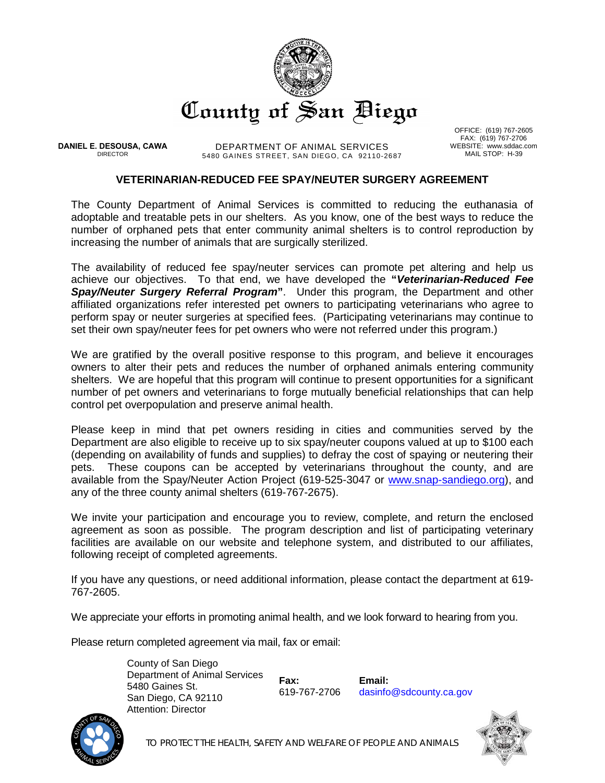

**DANIEL E. DESOUSA, CAWA** DIRECTOR

DEPARTMENT OF ANIMAL SERVICES 5480 GAINES STREET, SAN DIEGO, CA 92110-2687

OFFICE: (619) 767-2605 FAX: (619) 767-2706 WEBSITE: www.sddac.com MAIL STOP: H-39

# **VETERINARIAN-REDUCED FEE SPAY/NEUTER SURGERY AGREEMENT**

The County Department of Animal Services is committed to reducing the euthanasia of adoptable and treatable pets in our shelters. As you know, one of the best ways to reduce the number of orphaned pets that enter community animal shelters is to control reproduction by increasing the number of animals that are surgically sterilized.

The availability of reduced fee spay/neuter services can promote pet altering and help us achieve our objectives. To that end, we have developed the **"***Veterinarian-Reduced Fee Spay/Neuter Surgery Referral Program***"**. Under this program, the Department and other affiliated organizations refer interested pet owners to participating veterinarians who agree to perform spay or neuter surgeries at specified fees. (Participating veterinarians may continue to set their own spay/neuter fees for pet owners who were not referred under this program.)

We are gratified by the overall positive response to this program, and believe it encourages owners to alter their pets and reduces the number of orphaned animals entering community shelters. We are hopeful that this program will continue to present opportunities for a significant number of pet owners and veterinarians to forge mutually beneficial relationships that can help control pet overpopulation and preserve animal health.

Please keep in mind that pet owners residing in cities and communities served by the Department are also eligible to receive up to six spay/neuter coupons valued at up to \$100 each (depending on availability of funds and supplies) to defray the cost of spaying or neutering their pets. These coupons can be accepted by veterinarians throughout the county, and are available from the Spay/Neuter Action Project (619-525-3047 or [www.snap-sandiego.org\)](http://www.snap-sandiego.org/), and any of the three county animal shelters (619-767-2675).

We invite your participation and encourage you to review, complete, and return the enclosed agreement as soon as possible. The program description and list of participating veterinary facilities are available on our website and telephone system, and distributed to our affiliates, following receipt of completed agreements.

If you have any questions, or need additional information, please contact the department at 619- 767-2605.

We appreciate your efforts in promoting animal health, and we look forward to hearing from you.

Please return completed agreement via mail, fax or email:

County of San Diego Department of Animal Services 5480 Gaines St. San Diego, CA 92110 Attention: Director

**Fax:**  619-767-2706

**Email:**  dasinfo@sdcounty.ca.gov



*TO PROTECT THE HEALTH, SAFETY AND WELFARE OF PEOPLE AND ANIMALS*

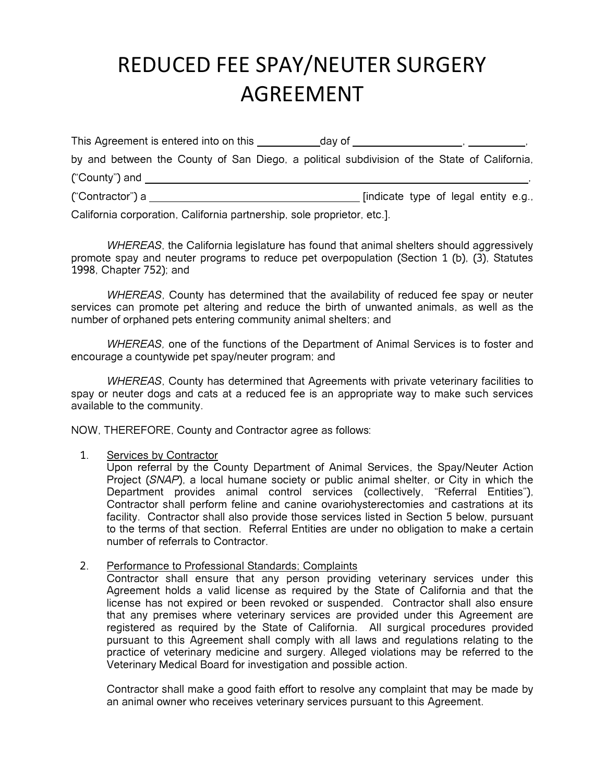# REDUCED FEE SPAY/NEUTER SURGERY AGREEMENT

| This Agreement is entered into on this | day of                                                                                      |  |
|----------------------------------------|---------------------------------------------------------------------------------------------|--|
|                                        | by and between the County of San Diego, a political subdivision of the State of California, |  |
| ("County") and                         |                                                                                             |  |
| ("Contractor") a                       | findicate type of legal entity e.g.,                                                        |  |

California corporation, California partnership, sole proprietor, etc.].

*WHEREAS*, the California legislature has found that animal shelters should aggressively promote spay and neuter programs to reduce pet overpopulation (Section 1 (b), (3), Statutes 1998, Chapter 752); and

*WHEREAS*, County has determined that the availability of reduced fee spay or neuter services can promote pet altering and reduce the birth of unwanted animals, as well as the number of orphaned pets entering community animal shelters; and

*WHEREAS,* one of the functions of the Department of Animal Services is to foster and encourage a countywide pet spay/neuter program; and

*WHEREAS*, County has determined that Agreements with private veterinary facilities to spay or neuter dogs and cats at a reduced fee is an appropriate way to make such services available to the community.

NOW, THEREFORE, County and Contractor agree as follows:

#### 1. Services by Contractor

Upon referral by the County Department of Animal Services, the Spay/Neuter Action Project (*SNAP*), a local humane society or public animal shelter, or City in which the Department provides animal control services (collectively, "Referral Entities"), Contractor shall perform feline and canine ovariohysterectomies and castrations at its facility. Contractor shall also provide those services listed in Section 5 below, pursuant to the terms of that section. Referral Entities are under no obligation to make a certain number of referrals to Contractor.

2. Performance to Professional Standards; Complaints

Contractor shall ensure that any person providing veterinary services under this Agreement holds a valid license as required by the State of California and that the license has not expired or been revoked or suspended. Contractor shall also ensure that any premises where veterinary services are provided under this Agreement are registered as required by the State of California. All surgical procedures provided pursuant to this Agreement shall comply with all laws and regulations relating to the practice of veterinary medicine and surgery. Alleged violations may be referred to the Veterinary Medical Board for investigation and possible action.

Contractor shall make a good faith effort to resolve any complaint that may be made by an animal owner who receives veterinary services pursuant to this Agreement.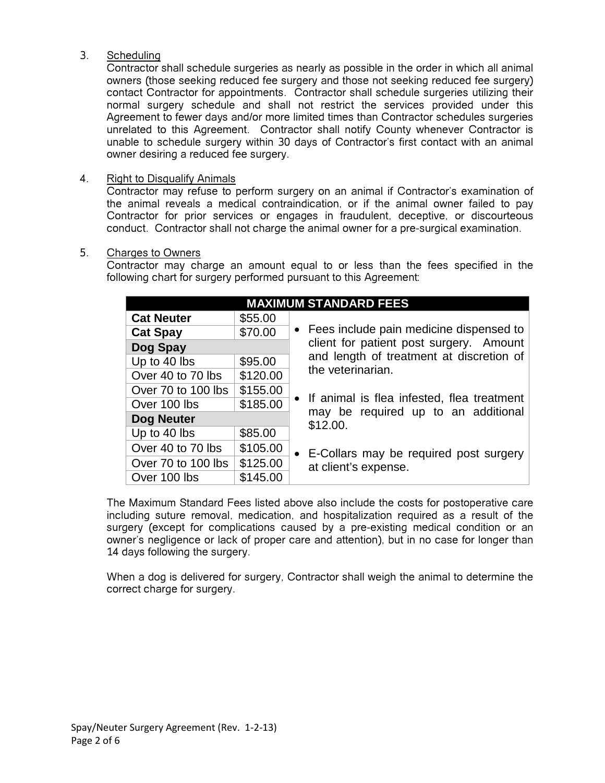# 3. Scheduling

Contractor shall schedule surgeries as nearly as possible in the order in which all animal owners (those seeking reduced fee surgery and those not seeking reduced fee surgery) contact Contractor for appointments. Contractor shall schedule surgeries utilizing their normal surgery schedule and shall not restrict the services provided under this Agreement to fewer days and/or more limited times than Contractor schedules surgeries unrelated to this Agreement. Contractor shall notify County whenever Contractor is unable to schedule surgery within 30 days of Contractor's first contact with an animal owner desiring a reduced fee surgery.

# 4. Right to Disqualify Animals

Contractor may refuse to perform surgery on an animal if Contractor's examination of the animal reveals a medical contraindication, or if the animal owner failed to pay Contractor for prior services or engages in fraudulent, deceptive, or discourteous conduct. Contractor shall not charge the animal owner for a pre-surgical examination.

# 5. Charges to Owners

Contractor may charge an amount equal to or less than the fees specified in the following chart for surgery performed pursuant to this Agreement:

| <b>MAXIMUM STANDARD FEES</b> |          |                                                 |  |  |
|------------------------------|----------|-------------------------------------------------|--|--|
| <b>Cat Neuter</b>            | \$55.00  |                                                 |  |  |
| <b>Cat Spay</b>              | \$70.00  | • Fees include pain medicine dispensed to       |  |  |
| Dog Spay                     |          | client for patient post surgery. Amount         |  |  |
| Up to 40 lbs                 | \$95.00  | and length of treatment at discretion of        |  |  |
| Over 40 to 70 lbs            | \$120.00 | the veterinarian.                               |  |  |
| Over 70 to 100 lbs           | \$155.00 |                                                 |  |  |
| Over 100 lbs                 | \$185.00 | • If animal is flea infested, flea treatment    |  |  |
| <b>Dog Neuter</b>            |          | may be required up to an additional<br>\$12.00. |  |  |
| Up to 40 lbs                 | \$85.00  |                                                 |  |  |
| Over 40 to 70 lbs            | \$105.00 | • E-Collars may be required post surgery        |  |  |
| Over 70 to 100 lbs           | \$125.00 | at client's expense.                            |  |  |
| Over 100 lbs                 | \$145.00 |                                                 |  |  |

The Maximum Standard Fees listed above also include the costs for postoperative care including suture removal, medication, and hospitalization required as a result of the surgery (except for complications caused by a pre-existing medical condition or an owner's negligence or lack of proper care and attention), but in no case for longer than 14 days following the surgery.

When a dog is delivered for surgery, Contractor shall weigh the animal to determine the correct charge for surgery.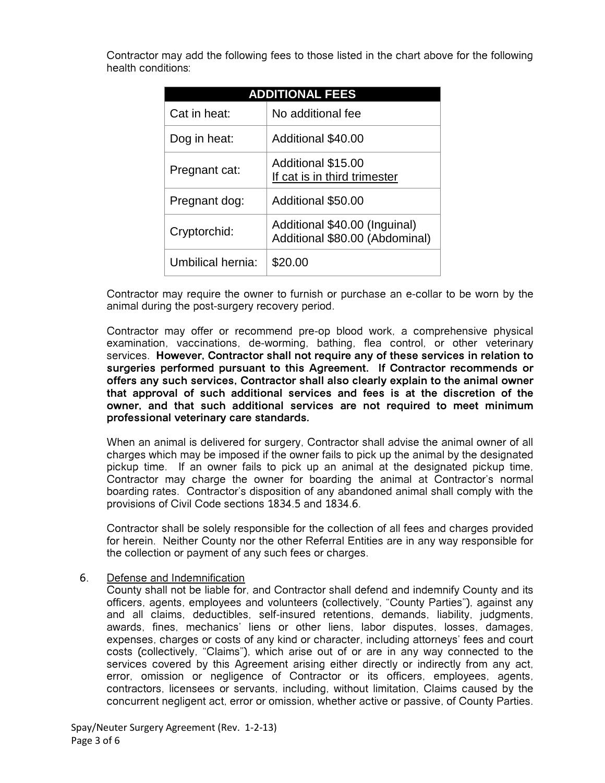Contractor may add the following fees to those listed in the chart above for the following health conditions:

| <b>ADDITIONAL FEES</b> |                                                                 |  |  |
|------------------------|-----------------------------------------------------------------|--|--|
| Cat in heat:           | No additional fee                                               |  |  |
| Dog in heat:           | Additional \$40.00                                              |  |  |
| Pregnant cat:          | Additional \$15.00<br>If cat is in third trimester              |  |  |
| Pregnant dog:          | Additional \$50.00                                              |  |  |
| Cryptorchid:           | Additional \$40.00 (Inguinal)<br>Additional \$80.00 (Abdominal) |  |  |
| Umbilical hernia:      | \$20.00                                                         |  |  |

Contractor may require the owner to furnish or purchase an e-collar to be worn by the animal during the post-surgery recovery period.

Contractor may offer or recommend pre-op blood work, a comprehensive physical examination, vaccinations, de-worming, bathing, flea control, or other veterinary services. **However, Contractor shall not require any of these services in relation to surgeries performed pursuant to this Agreement. If Contractor recommends or offers any such services, Contractor shall also clearly explain to the animal owner that approval of such additional services and fees is at the discretion of the owner, and that such additional services are not required to meet minimum professional veterinary care standards***.*

When an animal is delivered for surgery, Contractor shall advise the animal owner of all charges which may be imposed if the owner fails to pick up the animal by the designated pickup time. If an owner fails to pick up an animal at the designated pickup time, Contractor may charge the owner for boarding the animal at Contractor's normal boarding rates. Contractor's disposition of any abandoned animal shall comply with the provisions of Civil Code sections 1834.5 and 1834.6.

Contractor shall be solely responsible for the collection of all fees and charges provided for herein. Neither County nor the other Referral Entities are in any way responsible for the collection or payment of any such fees or charges.

# 6. Defense and Indemnification

County shall not be liable for, and Contractor shall defend and indemnify County and its officers, agents, employees and volunteers (collectively, "County Parties"), against any and all claims, deductibles, self-insured retentions, demands, liability, judgments, awards, fines, mechanics' liens or other liens, labor disputes, losses, damages, expenses, charges or costs of any kind or character, including attorneys' fees and court costs (collectively, "Claims"), which arise out of or are in any way connected to the services covered by this Agreement arising either directly or indirectly from any act, error, omission or negligence of Contractor or its officers, employees, agents, contractors, licensees or servants, including, without limitation, Claims caused by the concurrent negligent act, error or omission, whether active or passive, of County Parties.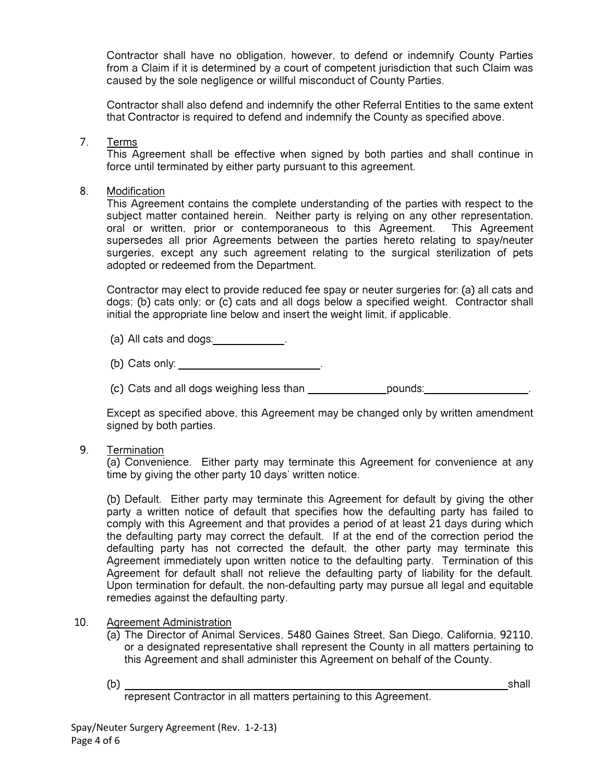Contractor shall have no obligation, however, to defend or indemnify County Parties from a Claim if it is determined by a court of competent jurisdiction that such Claim was caused by the sole negligence or willful misconduct of County Parties.

Contractor shall also defend and indemnify the other Referral Entities to the same extent that Contractor is required to defend and indemnify the County as specified above.

7. Terms

This Agreement shall be effective when signed by both parties and shall continue in force until terminated by either party pursuant to this agreement.

8. Modification

This Agreement contains the complete understanding of the parties with respect to the subject matter contained herein. Neither party is relying on any other representation, oral or written, prior or contemporaneous to this Agreement. This Agreement supersedes all prior Agreements between the parties hereto relating to spay/neuter surgeries, except any such agreement relating to the surgical sterilization of pets adopted or redeemed from the Department.

Contractor may elect to provide reduced fee spay or neuter surgeries for: (a) all cats and dogs; (b) cats only; or (c) cats and all dogs below a specified weight. Contractor shall initial the appropriate line below and insert the weight limit, if applicable.

- (a) All cats and dogs: .
- (b) Cats only: \_\_\_\_\_\_\_\_\_\_\_\_\_\_\_\_\_\_\_\_\_\_\_\_\_.
- (c) Cats and all dogs weighing less than pounds: .

Except as specified above, this Agreement may be changed only by written amendment signed by both parties.

9. Termination

(a) Convenience. Either party may terminate this Agreement for convenience at any time by giving the other party 10 days' written notice.

(b) Default. Either party may terminate this Agreement for default by giving the other party a written notice of default that specifies how the defaulting party has failed to comply with this Agreement and that provides a period of at least 21 days during which the defaulting party may correct the default. If at the end of the correction period the defaulting party has not corrected the default, the other party may terminate this Agreement immediately upon written notice to the defaulting party. Termination of this Agreement for default shall not relieve the defaulting party of liability for the default. Upon termination for default, the non-defaulting party may pursue all legal and equitable remedies against the defaulting party.

#### 10. Agreement Administration

- (a) The Director of Animal Services, 5480 Gaines Street, San Diego, California, 92110, or a designated representative shall represent the County in all matters pertaining to this Agreement and shall administer this Agreement on behalf of the County.
- 

(b) shall

represent Contractor in all matters pertaining to this Agreement.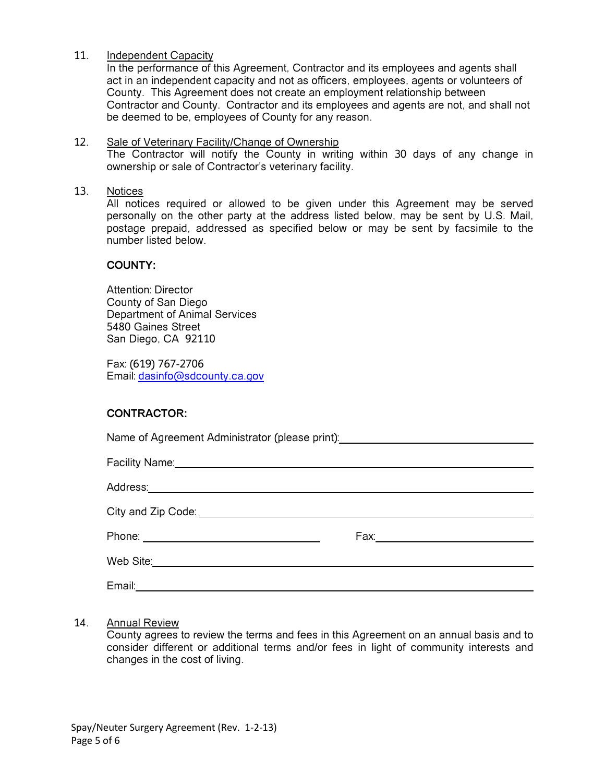#### 11. Independent Capacity

In the performance of this Agreement, Contractor and its employees and agents shall act in an independent capacity and not as officers, employees, agents or volunteers of County. This Agreement does not create an employment relationship between Contractor and County. Contractor and its employees and agents are not, and shall not be deemed to be, employees of County for any reason.

#### 12. Sale of Veterinary Facility/Change of Ownership The Contractor will notify the County in writing within 30 days of any change in ownership or sale of Contractor's veterinary facility.

#### 13. Notices

All notices required or allowed to be given under this Agreement may be served personally on the other party at the address listed below, may be sent by U.S. Mail, postage prepaid, addressed as specified below or may be sent by facsimile to the number listed below.

#### **COUNTY:**

Attention: Director County of San Diego Department of Animal Services 5480 Gaines Street San Diego, CA 92110

Fax: (619) 767-2706 Email: [dasinfo@sdcounty.ca.gov](mailto:dasinfo@sdcounty.ca.gov)

# **CONTRACTOR:**

Name of Agreement Administrator (please print):

| Facility Name: Manual According to the Contract of the Contract of the Contract of the Contract of the Contract of the Contract of the Contract of the Contract of the Contract of the Contract of the Contract of the Contrac |  |
|--------------------------------------------------------------------------------------------------------------------------------------------------------------------------------------------------------------------------------|--|
|                                                                                                                                                                                                                                |  |
|                                                                                                                                                                                                                                |  |
|                                                                                                                                                                                                                                |  |
|                                                                                                                                                                                                                                |  |
| Email:                                                                                                                                                                                                                         |  |

#### 14. Annual Review

County agrees to review the terms and fees in this Agreement on an annual basis and to consider different or additional terms and/or fees in light of community interests and changes in the cost of living.